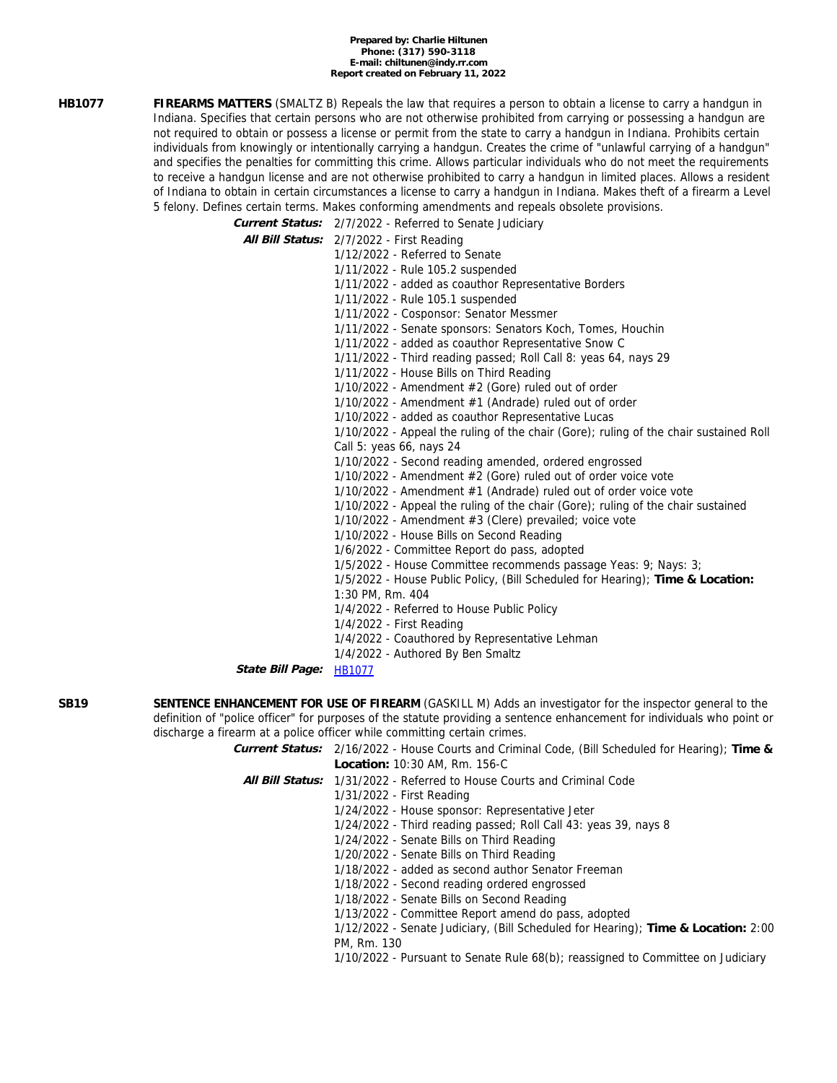#### **Prepared by: Charlie Hiltunen Phone: (317) 590-3118 E-mail: chiltunen@indy.rr.com Report created on February 11, 2022**

**HB1077 FIREARMS MATTERS** (SMALTZ B) Repeals the law that requires a person to obtain a license to carry a handgun in Indiana. Specifies that certain persons who are not otherwise prohibited from carrying or possessing a handgun are not required to obtain or possess a license or permit from the state to carry a handgun in Indiana. Prohibits certain individuals from knowingly or intentionally carrying a handgun. Creates the crime of "unlawful carrying of a handgun" and specifies the penalties for committing this crime. Allows particular individuals who do not meet the requirements to receive a handgun license and are not otherwise prohibited to carry a handgun in limited places. Allows a resident of Indiana to obtain in certain circumstances a license to carry a handgun in Indiana. Makes theft of a firearm a Level 5 felony. Defines certain terms. Makes conforming amendments and repeals obsolete provisions.

**Current Status:** 2/7/2022 - Referred to Senate Judiciary

|  | Et it Local increased to contain segments                                             |
|--|---------------------------------------------------------------------------------------|
|  | All Bill Status: 2/7/2022 - First Reading                                             |
|  | 1/12/2022 - Referred to Senate                                                        |
|  | 1/11/2022 - Rule 105.2 suspended                                                      |
|  | 1/11/2022 - added as coauthor Representative Borders                                  |
|  | 1/11/2022 - Rule 105.1 suspended                                                      |
|  | 1/11/2022 - Cosponsor: Senator Messmer                                                |
|  | 1/11/2022 - Senate sponsors: Senators Koch, Tomes, Houchin                            |
|  | 1/11/2022 - added as coauthor Representative Snow C                                   |
|  | 1/11/2022 - Third reading passed; Roll Call 8: yeas 64, nays 29                       |
|  | 1/11/2022 - House Bills on Third Reading                                              |
|  | 1/10/2022 - Amendment #2 (Gore) ruled out of order                                    |
|  | 1/10/2022 - Amendment #1 (Andrade) ruled out of order                                 |
|  | 1/10/2022 - added as coauthor Representative Lucas                                    |
|  | 1/10/2022 - Appeal the ruling of the chair (Gore); ruling of the chair sustained Roll |
|  | Call 5: yeas 66, nays 24                                                              |
|  | 1/10/2022 - Second reading amended, ordered engrossed                                 |
|  | $1/10/2022$ - Amendment $#2$ (Gore) ruled out of order voice vote                     |
|  | 1/10/2022 - Amendment #1 (Andrade) ruled out of order voice vote                      |
|  | 1/10/2022 - Appeal the ruling of the chair (Gore); ruling of the chair sustained      |
|  | 1/10/2022 - Amendment #3 (Clere) prevailed; voice vote                                |
|  | 1/10/2022 - House Bills on Second Reading                                             |
|  | 1/6/2022 - Committee Report do pass, adopted                                          |
|  | 1/5/2022 - House Committee recommends passage Yeas: 9; Nays: 3;                       |
|  | 1/5/2022 - House Public Policy, (Bill Scheduled for Hearing); Time & Location:        |
|  | 1:30 PM, Rm. 404                                                                      |
|  | 1/4/2022 - Referred to House Public Policy                                            |
|  | 1/4/2022 - First Reading                                                              |
|  | 1/4/2022 - Coauthored by Representative Lehman                                        |
|  | 1/4/2022 - Authored By Ben Smaltz                                                     |
|  |                                                                                       |

**State Bill Page:** [HB1077](http://iga.in.gov/legislative/2022/bills/house/1077)

**SB19 SENTENCE ENHANCEMENT FOR USE OF FIREARM** (GASKILL M) Adds an investigator for the inspector general to the definition of "police officer" for purposes of the statute providing a sentence enhancement for individuals who point or discharge a firearm at a police officer while committing certain crimes.

> **Current Status:** 2/16/2022 - House Courts and Criminal Code, (Bill Scheduled for Hearing); **Time & Location:** 10:30 AM, Rm. 156-C

**All Bill Status:** 1/31/2022 - Referred to House Courts and Criminal Code

1/31/2022 - First Reading

1/24/2022 - House sponsor: Representative Jeter

1/24/2022 - Third reading passed; Roll Call 43: yeas 39, nays 8

1/24/2022 - Senate Bills on Third Reading

1/20/2022 - Senate Bills on Third Reading

1/18/2022 - added as second author Senator Freeman

1/18/2022 - Second reading ordered engrossed

1/18/2022 - Senate Bills on Second Reading

1/13/2022 - Committee Report amend do pass, adopted

1/12/2022 - Senate Judiciary, (Bill Scheduled for Hearing); **Time & Location:** 2:00 PM, Rm. 130

1/10/2022 - Pursuant to Senate Rule 68(b); reassigned to Committee on Judiciary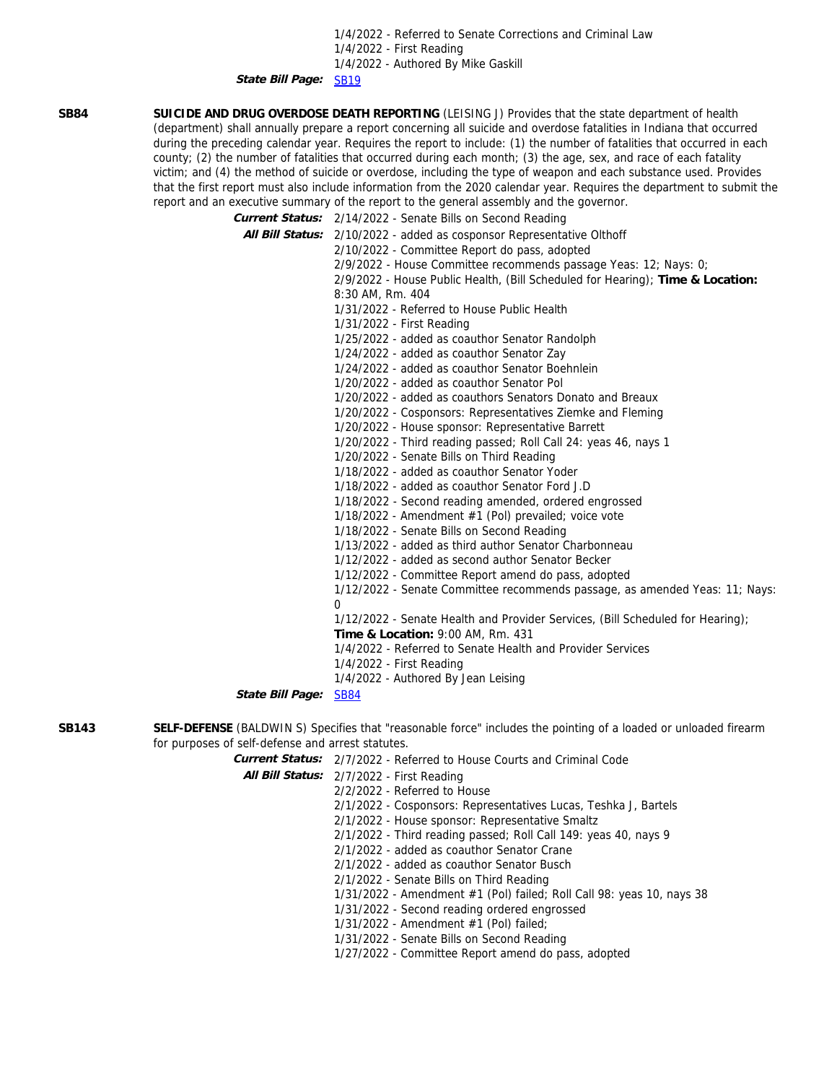1/4/2022 - Referred to Senate Corrections and Criminal Law 1/4/2022 - First Reading 1/4/2022 - Authored By Mike Gaskill

**State Bill Page:** [SB19](http://iga.in.gov/legislative/2022/bills/senate/19)

**SB84 SUICIDE AND DRUG OVERDOSE DEATH REPORTING** (LEISING J) Provides that the state department of health (department) shall annually prepare a report concerning all suicide and overdose fatalities in Indiana that occurred during the preceding calendar year. Requires the report to include: (1) the number of fatalities that occurred in each county; (2) the number of fatalities that occurred during each month; (3) the age, sex, and race of each fatality victim; and (4) the method of suicide or overdose, including the type of weapon and each substance used. Provides that the first report must also include information from the 2020 calendar year. Requires the department to submit the report and an executive summary of the report to the general assembly and the governor.

**Current Status:** 2/14/2022 - Senate Bills on Second Reading

**All Bill Status:** 2/10/2022 - added as cosponsor Representative Olthoff 2/10/2022 - Committee Report do pass, adopted 2/9/2022 - House Committee recommends passage Yeas: 12; Nays: 0; 2/9/2022 - House Public Health, (Bill Scheduled for Hearing); **Time & Location:** 8:30 AM, Rm. 404 1/31/2022 - Referred to House Public Health 1/31/2022 - First Reading 1/25/2022 - added as coauthor Senator Randolph 1/24/2022 - added as coauthor Senator Zay 1/24/2022 - added as coauthor Senator Boehnlein 1/20/2022 - added as coauthor Senator Pol 1/20/2022 - added as coauthors Senators Donato and Breaux 1/20/2022 - Cosponsors: Representatives Ziemke and Fleming 1/20/2022 - House sponsor: Representative Barrett 1/20/2022 - Third reading passed; Roll Call 24: yeas 46, nays 1 1/20/2022 - Senate Bills on Third Reading 1/18/2022 - added as coauthor Senator Yoder 1/18/2022 - added as coauthor Senator Ford J.D 1/18/2022 - Second reading amended, ordered engrossed 1/18/2022 - Amendment #1 (Pol) prevailed; voice vote 1/18/2022 - Senate Bills on Second Reading 1/13/2022 - added as third author Senator Charbonneau 1/12/2022 - added as second author Senator Becker 1/12/2022 - Committee Report amend do pass, adopted 1/12/2022 - Senate Committee recommends passage, as amended Yeas: 11; Nays:  $\Omega$ 1/12/2022 - Senate Health and Provider Services, (Bill Scheduled for Hearing); **Time & Location:** 9:00 AM, Rm. 431 1/4/2022 - Referred to Senate Health and Provider Services 1/4/2022 - First Reading 1/4/2022 - Authored By Jean Leising

**State Bill Page:** [SB84](http://iga.in.gov/legislative/2022/bills/senate/84)

**SB143 SELF-DEFENSE** (BALDWIN S) Specifies that "reasonable force" includes the pointing of a loaded or unloaded firearm for purposes of self-defense and arrest statutes.

**Current Status:** 2/7/2022 - Referred to House Courts and Criminal Code

**All Bill Status:** 2/7/2022 - First Reading

2/2/2022 - Referred to House 2/1/2022 - Cosponsors: Representatives Lucas, Teshka J, Bartels 2/1/2022 - House sponsor: Representative Smaltz 2/1/2022 - Third reading passed; Roll Call 149: yeas 40, nays 9 2/1/2022 - added as coauthor Senator Crane 2/1/2022 - added as coauthor Senator Busch 2/1/2022 - Senate Bills on Third Reading 1/31/2022 - Amendment #1 (Pol) failed; Roll Call 98: yeas 10, nays 38 1/31/2022 - Second reading ordered engrossed 1/31/2022 - Amendment #1 (Pol) failed; 1/31/2022 - Senate Bills on Second Reading 1/27/2022 - Committee Report amend do pass, adopted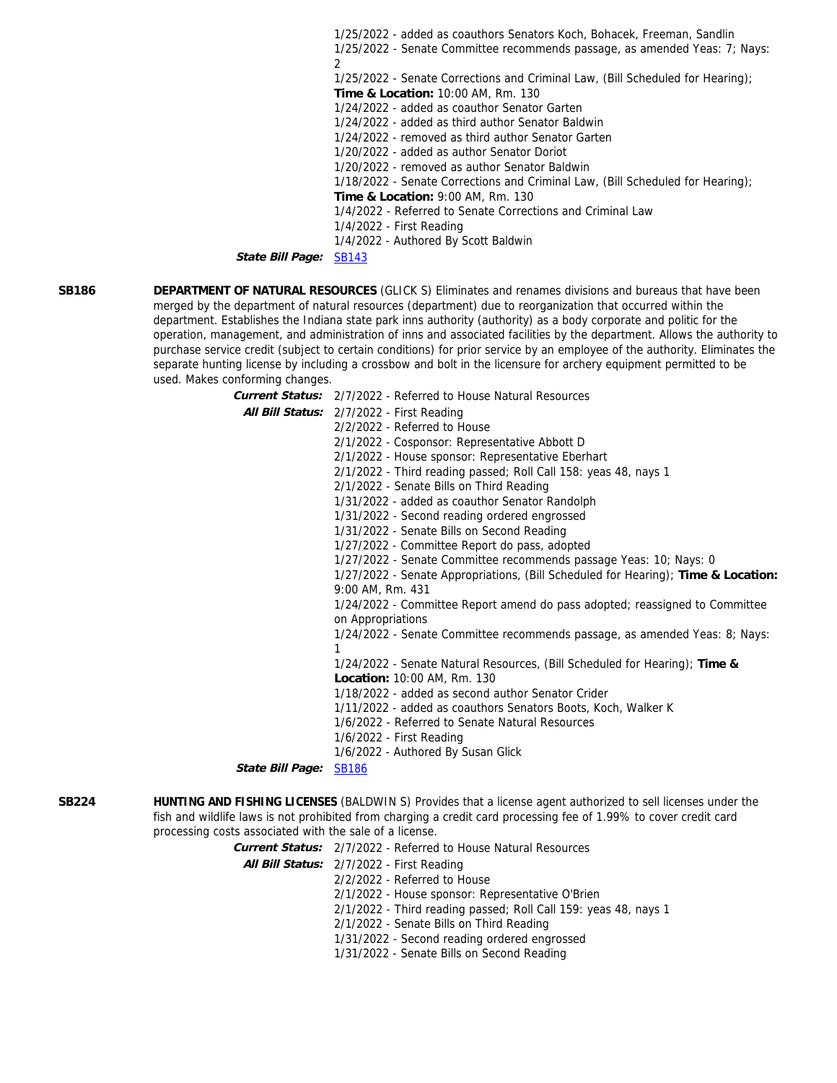1/25/2022 - added as coauthors Senators Koch, Bohacek, Freeman, Sandlin 1/25/2022 - Senate Committee recommends passage, as amended Yeas: 7; Nays:  $\mathcal{L}$ 1/25/2022 - Senate Corrections and Criminal Law, (Bill Scheduled for Hearing); **Time & Location:** 10:00 AM, Rm. 130 1/24/2022 - added as coauthor Senator Garten 1/24/2022 - added as third author Senator Baldwin 1/24/2022 - removed as third author Senator Garten 1/20/2022 - added as author Senator Doriot 1/20/2022 - removed as author Senator Baldwin 1/18/2022 - Senate Corrections and Criminal Law, (Bill Scheduled for Hearing); **Time & Location:** 9:00 AM, Rm. 130 1/4/2022 - Referred to Senate Corrections and Criminal Law 1/4/2022 - First Reading 1/4/2022 - Authored By Scott Baldwin

**State Bill Page:** [SB143](http://iga.in.gov/legislative/2022/bills/senate/143)

**SB186 DEPARTMENT OF NATURAL RESOURCES** (GLICK S) Eliminates and renames divisions and bureaus that have been merged by the department of natural resources (department) due to reorganization that occurred within the department. Establishes the Indiana state park inns authority (authority) as a body corporate and politic for the operation, management, and administration of inns and associated facilities by the department. Allows the authority to purchase service credit (subject to certain conditions) for prior service by an employee of the authority. Eliminates the separate hunting license by including a crossbow and bolt in the licensure for archery equipment permitted to be used. Makes conforming changes.

> **Current Status:** 2/7/2022 - Referred to House Natural Resources **All Bill Status:** 2/7/2022 - First Reading 2/2/2022 - Referred to House 2/1/2022 - Cosponsor: Representative Abbott D 2/1/2022 - House sponsor: Representative Eberhart 2/1/2022 - Third reading passed; Roll Call 158: yeas 48, nays 1 2/1/2022 - Senate Bills on Third Reading 1/31/2022 - added as coauthor Senator Randolph 1/31/2022 - Second reading ordered engrossed 1/31/2022 - Senate Bills on Second Reading 1/27/2022 - Committee Report do pass, adopted 1/27/2022 - Senate Committee recommends passage Yeas: 10; Nays: 0 1/27/2022 - Senate Appropriations, (Bill Scheduled for Hearing); **Time & Location:** 9:00 AM, Rm. 431 1/24/2022 - Committee Report amend do pass adopted; reassigned to Committee on Appropriations 1/24/2022 - Senate Committee recommends passage, as amended Yeas: 8; Nays: 1 1/24/2022 - Senate Natural Resources, (Bill Scheduled for Hearing); **Time & Location:** 10:00 AM, Rm. 130 1/18/2022 - added as second author Senator Crider 1/11/2022 - added as coauthors Senators Boots, Koch, Walker K 1/6/2022 - Referred to Senate Natural Resources 1/6/2022 - First Reading 1/6/2022 - Authored By Susan Glick State Bill Page: **[SB186](http://iga.in.gov/legislative/2022/bills/senate/186)**

**SB224 HUNTING AND FISHING LICENSES** (BALDWIN S) Provides that a license agent authorized to sell licenses under the fish and wildlife laws is not prohibited from charging a credit card processing fee of 1.99% to cover credit card processing costs associated with the sale of a license.

**Current Status:** 2/7/2022 - Referred to House Natural Resources

**All Bill Status:** 2/7/2022 - First Reading

2/2/2022 - Referred to House

2/1/2022 - House sponsor: Representative O'Brien

2/1/2022 - Third reading passed; Roll Call 159: yeas 48, nays 1

2/1/2022 - Senate Bills on Third Reading

1/31/2022 - Second reading ordered engrossed

1/31/2022 - Senate Bills on Second Reading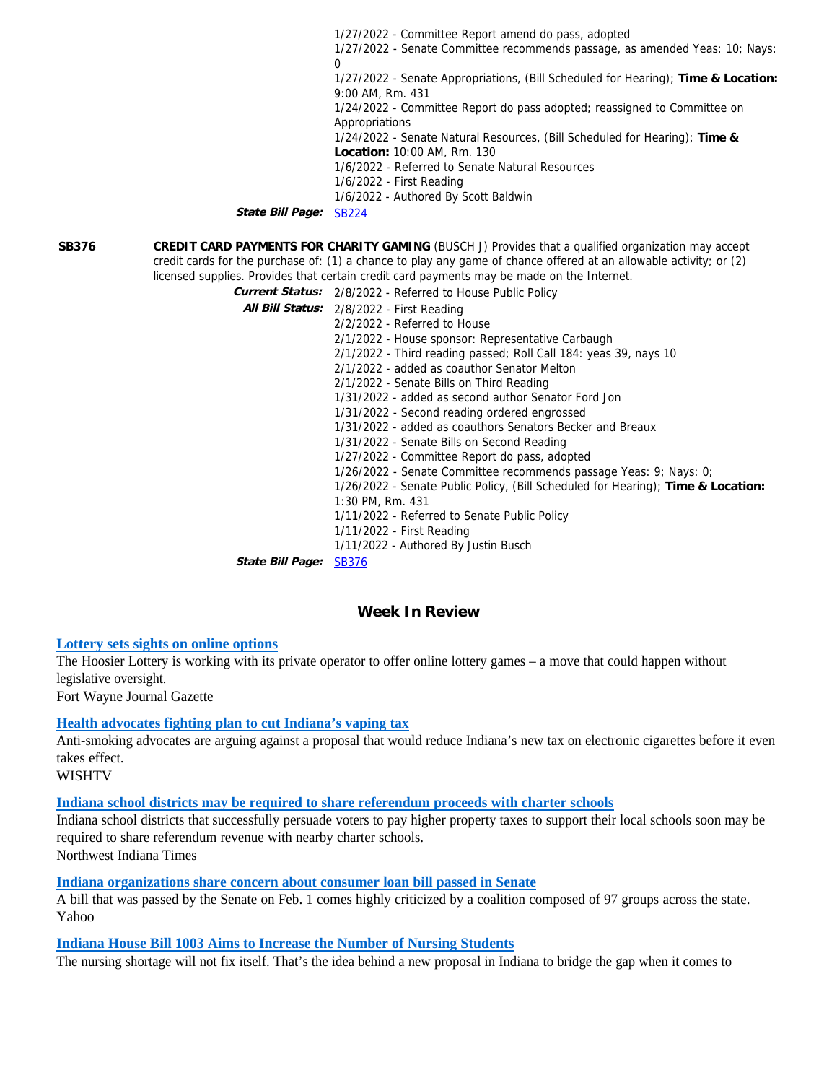1/27/2022 - Committee Report amend do pass, adopted 1/27/2022 - Senate Committee recommends passage, as amended Yeas: 10; Nays:  $\Omega$ 1/27/2022 - Senate Appropriations, (Bill Scheduled for Hearing); **Time & Location:** 9:00 AM, Rm. 431 1/24/2022 - Committee Report do pass adopted; reassigned to Committee on **Appropriations** 1/24/2022 - Senate Natural Resources, (Bill Scheduled for Hearing); **Time & Location:** 10:00 AM, Rm. 130 1/6/2022 - Referred to Senate Natural Resources 1/6/2022 - First Reading 1/6/2022 - Authored By Scott Baldwin **State Bill Page:** [SB224](http://iga.in.gov/legislative/2022/bills/senate/224)

**SB376 CREDIT CARD PAYMENTS FOR CHARITY GAMING** (BUSCH J) Provides that a qualified organization may accept credit cards for the purchase of: (1) a chance to play any game of chance offered at an allowable activity; or (2) licensed supplies. Provides that certain credit card payments may be made on the Internet.

**Current Status:** 2/8/2022 - Referred to House Public Policy

|                         | All Bill Status: 2/8/2022 - First Reading                                        |
|-------------------------|----------------------------------------------------------------------------------|
|                         | 2/2/2022 - Referred to House                                                     |
|                         | 2/1/2022 - House sponsor: Representative Carbaugh                                |
|                         | 2/1/2022 - Third reading passed; Roll Call 184: yeas 39, nays 10                 |
|                         | 2/1/2022 - added as coauthor Senator Melton                                      |
|                         | 2/1/2022 - Senate Bills on Third Reading                                         |
|                         | 1/31/2022 - added as second author Senator Ford Jon                              |
|                         | 1/31/2022 - Second reading ordered engrossed                                     |
|                         | 1/31/2022 - added as coauthors Senators Becker and Breaux                        |
|                         | 1/31/2022 - Senate Bills on Second Reading                                       |
|                         | 1/27/2022 - Committee Report do pass, adopted                                    |
|                         | 1/26/2022 - Senate Committee recommends passage Yeas: 9; Nays: 0;                |
|                         | 1/26/2022 - Senate Public Policy, (Bill Scheduled for Hearing); Time & Location: |
|                         | 1:30 PM, Rm. 431                                                                 |
|                         | 1/11/2022 - Referred to Senate Public Policy                                     |
|                         | 1/11/2022 - First Reading                                                        |
|                         | 1/11/2022 - Authored By Justin Busch                                             |
| <i>State Bill Page:</i> | <b>SB376</b>                                                                     |

**Week In Review**

## **[Lottery sets sights on online options](https://www.journalgazette.net/news/local/20220211/lottery-sets-sights-on-online-options)**

The Hoosier Lottery is working with its private operator to offer online lottery games – a move that could happen without legislative oversight. Fort Wayne Journal Gazette

### **[Health advocates fighting plan to cut Indiana's vaping tax](https://www.wishtv.com/news/indiana-news/health-advocates-fighting-plan-to-cut-indianas-vaping-tax/)**

Anti-smoking advocates are arguing against a proposal that would reduce Indiana's new tax on electronic cigarettes before it even takes effect.

WISHTV

## **[Indiana school districts may be required to share referendum proceeds with charter schools](https://www.nwitimes.com/news/education/indiana-school-districts-may-be-required-to-share-referendum-proceeds-with-charter-schools/article_6156aae6-1e4c-582b-be9b-fb314ce03f40.html)**

Indiana school districts that successfully persuade voters to pay higher property taxes to support their local schools soon may be required to share referendum revenue with nearby charter schools. Northwest Indiana Times

**[Indiana organizations share concern about consumer loan bill passed in Senate](https://news.yahoo.com/indiana-organizations-share-concern-consumer-045900622.html)**

A bill that was passed by the Senate on Feb. 1 comes highly criticized by a coalition composed of 97 groups across the state. Yahoo

## **[Indiana House Bill 1003 Aims to Increase the Number of Nursing Students](https://www.wevv.com/news/indiana-house-bill-1003-aims-to-increase-the-number-of-nursing-students/article_af1eec18-8a05-11ec-96dc-ebe8e077b5bc.html)**

The nursing shortage will not fix itself. That's the idea behind a new proposal in Indiana to bridge the gap when it comes to